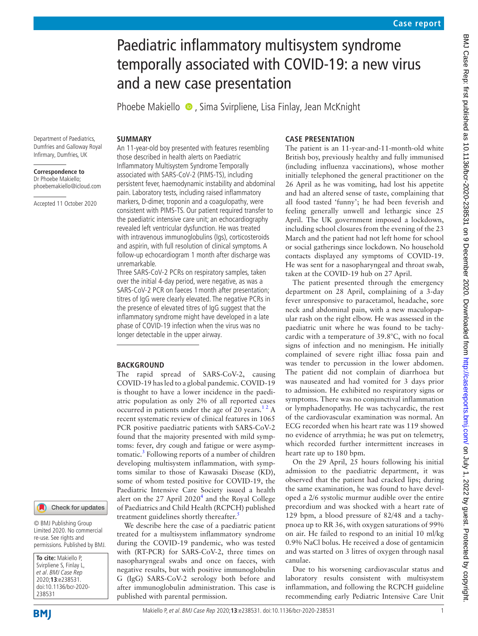# Paediatric inflammatory multisystem syndrome temporally associated with COVID-19: a new virus and a new case presentation

PhoebeMakiello  $\bullet$ , Sima Svirpliene, Lisa Finlay, Jean McKnight

#### **SUMMARY**

Department of Paediatrics, Dumfries and Galloway Royal Infirmary, Dumfries, UK

**Correspondence to** Dr Phoebe Makiello; phoebemakiello@icloud.com

Accepted 11 October 2020

An 11-year-old boy presented with features resembling those described in health alerts on Paediatric Inflammatory Multisystem Syndrome Temporally associated with SARS-CoV-2 (PIMS-TS), including persistent fever, haemodynamic instability and abdominal pain. Laboratory tests, including raised inflammatory markers, D-dimer, troponin and a coagulopathy, were consistent with PIMS-TS. Our patient required transfer to the paediatric intensive care unit; an echocardiography revealed left ventricular dysfunction. He was treated with intravenous immunoglobulins (Igs), corticosteroids and aspirin, with full resolution of clinical symptoms. A follow-up echocardiogram 1 month after discharge was unremarkable.

Three SARS-CoV-2 PCRs on respiratory samples, taken over the initial 4-day period, were negative, as was a SARS-CoV-2 PCR on faeces 1month after presentation; titres of IgG were clearly elevated. The negative PCRs in the presence of elevated titres of IgG suggest that the inflammatory syndrome might have developed in a late phase of COVID-19 infection when the virus was no longer detectable in the upper airway.

## **BACKGROUND**

The rapid spread of SARS-CoV-2, causing COVID-19 has led to a global pandemic. COVID-19 is thought to have a lower incidence in the paediatric population as only 2% of all reported cases occurred in patients under the age of 20 years. $12$  A recent systematic review of clinical features in 1065 PCR positive paediatric patients with SARS-CoV-2 found that the majority presented with mild symptoms: fever, dry cough and fatigue or were asymptomatic.<sup>3</sup> Following reports of a number of children developing multisystem inflammation, with symptoms similar to those of Kawasaki Disease (KD), some of whom tested positive for COVID-19, the Paediatric Intensive Care Society issued a health alert on the 27 April  $2020<sup>4</sup>$  $2020<sup>4</sup>$  $2020<sup>4</sup>$  and the Royal College of Paediatrics and Child Health (RCPCH) published treatment guidelines shortly thereafter.<sup>3</sup>

We describe here the case of a paediatric patient treated for a multisystem inflammatory syndrome during the COVID-19 pandemic, who was tested with (RT-PCR) for SARS-CoV-2, three times on nasopharyngeal swabs and once on faeces, with negative results, but with positive immunoglobulin G (IgG) SARS-CoV-2 serology both before and after immunoglobulin administration. This case is published with parental permission.

#### **CASE PRESENTATION**

The patient is an 11-year-and-11-month-old white British boy, previously healthy and fully immunised (including influenza vaccinations), whose mother initially telephoned the general practitioner on the 26 April as he was vomiting, had lost his appetite and had an altered sense of taste, complaining that all food tasted 'funny'; he had been feverish and feeling generally unwell and lethargic since 25 April. The UK government imposed a lockdown, including school closures from the evening of the 23 March and the patient had not left home for school or social gatherings since lockdown. No household contacts displayed any symptoms of COVID-19. He was sent for a nasopharyngeal and throat swab, taken at the COVID-19 hub on 27 April.

The patient presented through the emergency department on 28 April, complaining of a 3-day fever unresponsive to paracetamol, headache, sore neck and abdominal pain, with a new maculopapular rash on the right elbow. He was assessed in the paediatric unit where he was found to be tachycardic with a temperature of 39.8°C, with no focal signs of infection and no meningism. He initially complained of severe right illiac fossa pain and was tender to percussion in the lower abdomen. The patient did not complain of diarrhoea but was nauseated and had vomited for 3 days prior to admission. He exhibited no respiratory signs or symptoms. There was no conjunctival inflammation or lymphadenopathy. He was tachycardic, the rest of the cardiovascular examination was normal. An ECG recorded when his heart rate was 119 showed no evidence of arrythmia; he was put on telemetry, which recorded further intermittent increases in heart rate up to 180 bpm.

On the 29 April, 25 hours following his initial admission to the paediatric department, it was observed that the patient had cracked lips; during the same examination, he was found to have developed a 2/6 systolic murmur audible over the entire precordium and was shocked with a heart rate of 129 bpm, a blood pressure of 82/48 and a tachypnoea up to RR 36, with oxygen saturations of 99% on air. He failed to respond to an initial 10 ml/kg 0.9% NaCl bolus. He received a dose of gentamicin and was started on 3 litres of oxygen through nasal canulae.

Due to his worsening cardiovascular status and laboratory results consistent with multisystem inflammation, and following the RCPCH guideline recommending early Pediatric Intensive Care Unit

Check for updates

**To cite:** Makiello P, Svirpliene S, Finlay L, et al. BMJ Case Rep 2020;**13**:e238531. doi:10.1136/bcr-2020- 238531 permissions. Published by BMJ.

**BMI**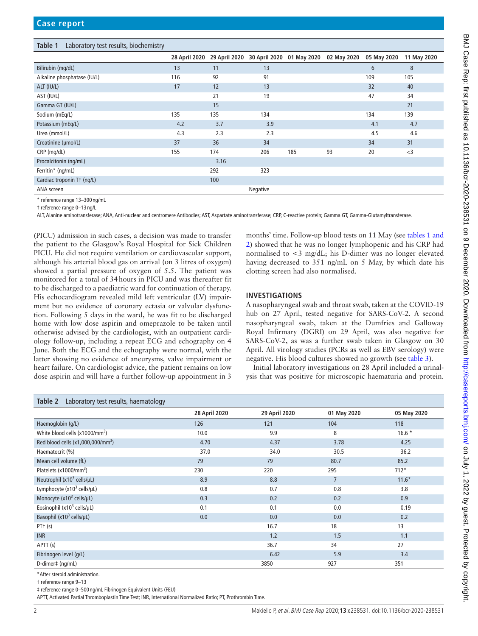<span id="page-1-0"></span>**Table 1** Laboratory test results, biochemistry

|                             | 28 April 2020 | 29 April 2020 | 30 April 2020 | 01 May 2020 | 02 May 2020 | 05 May 2020 | 11 May 2020 |
|-----------------------------|---------------|---------------|---------------|-------------|-------------|-------------|-------------|
| Bilirubin (mg/dL)           | 13            | 11            | 13            |             |             | 6           | 8           |
| Alkaline phosphatase (IU/L) | 116           | 92            | 91            |             |             | 109         | 105         |
| ALT (IU/L)                  | 17            | 12            | 13            |             |             | 32          | 40          |
| AST (IU/L)                  |               | 21            | 19            |             |             | 47          | 34          |
| Gamma GT (IU/L)             |               | 15            |               |             |             |             | 21          |
| Sodium (mEq/L)              | 135           | 135           | 134           |             |             | 134         | 139         |
| Potassium (mEq/L)           | 4.2           | 3.7           | 3.9           |             |             | 4.1         | 4.7         |
| Urea (mmol/L)               | 4.3           | 2.3           | 2.3           |             |             | 4.5         | 4.6         |
| Creatinine (µmol/L)         | 37            | 36            | 34            |             |             | 34          | 31          |
| CRP (mg/dL)                 | 155           | 174           | 206           | 185         | 93          | 20          | $<$ 3       |
| Procalcitonin (ng/mL)       |               | 3.16          |               |             |             |             |             |
| Ferritin* (ng/mL)           |               | 292           | 323           |             |             |             |             |
| Cardiac troponin Tt (ng/L)  |               | 100           |               |             |             |             |             |
| ANA screen                  |               |               | Negative      |             |             |             |             |

\* reference range 13–300 ng/mL

† reference range 0–13 ng/L

ALT, Alanine aminotransferase; ANA, Anti-nuclear and centromere Antibodies; AST, Aspartate aminotransferase; CRP, C-reactive protein; Gamma GT, Gamma-Glutamyltransferase.

(PICU) admission in such cases, a decision was made to transfer the patient to the Glasgow's Royal Hospital for Sick Children PICU. He did not require ventilation or cardiovascular support, although his arterial blood gas on arrival (on 3 litres of oxygen) showed a partial pressure of oxygen of 5.5. The patient was monitored for a total of 34hours in PICU and was thereafter fit to be discharged to a paediatric ward for continuation of therapy. His echocardiogram revealed mild left ventricular (LV) impairment but no evidence of coronary ectasia or valvular dysfunction. Following 5 days in the ward, he was fit to be discharged home with low dose aspirin and omeprazole to be taken until otherwise advised by the cardiologist, with an outpatient cardiology follow-up, including a repeat ECG and echography on 4 June. Both the ECG and the echography were normal, with the latter showing no evidence of aneurysms, valve impairment or heart failure. On cardiologist advice, the patient remains on low dose aspirin and will have a further follow-up appointment in 3

months' time. Follow-up blood tests on 11 May (see [tables](#page-1-0) 1 and [2\)](#page-1-0) showed that he was no longer lymphopenic and his CRP had normalised to <3 mg/dL; his D-dimer was no longer elevated having decreased to 351 ng/mL on 5 May, by which date his clotting screen had also normalised.

#### **INVESTIGATIONS**

A nasopharyngeal swab and throat swab, taken at the COVID-19 hub on 27 April, tested negative for SARS-CoV-2. A second nasopharyngeal swab, taken at the Dumfries and Galloway Royal Infirmary (DGRI) on 29 April, was also negative for SARS-CoV-2, as was a further swab taken in Glasgow on 30 April. All virology studies (PCRs as well as EBV serology) were negative. His blood cultures showed no growth (see [table](#page-2-0) 3).

Initial laboratory investigations on 28 April included a urinalysis that was positive for microscopic haematuria and protein.

| Laboratory test results, haematology<br>Table 2 |               |               |                |             |
|-------------------------------------------------|---------------|---------------|----------------|-------------|
|                                                 | 28 April 2020 | 29 April 2020 | 01 May 2020    | 05 May 2020 |
| Haemoglobin (g/L)                               | 126           | 121           | 104            | 118         |
| White blood cells (x1000/mm <sup>3</sup> )      | 10.0          | 9.9           | 8              | $16.6*$     |
| Red blood cells (x1,000,000/mm <sup>3</sup> )   | 4.70          | 4.37          | 3.78           | 4.25        |
| Haematocrit (%)                                 | 37.0          | 34.0          | 30.5           | 36.2        |
| Mean cell volume (fL)                           | 79            | 79            | 80.7           | 85.2        |
| Platelets $(x1000/mm^3)$                        | 230           | 220           | 295            | $712*$      |
| Neutrophil ( $x10^3$ cells/ $\mu$ L)            | 8.9           | 8.8           | $\overline{7}$ | $11.6*$     |
| Lymphocyte $(x10^3 \text{ cells/}\mu\text{L})$  | 0.8           | 0.7           | 0.8            | 3.8         |
| Monocyte $(x10^3 \text{ cells/}\mu\text{L})$    | 0.3           | 0.2           | 0.2            | 0.9         |
| Eosinophil (x10 <sup>3</sup> cells/µL)          | 0.1           | 0.1           | 0.0            | 0.19        |
| Basophil (x10 <sup>3</sup> cells/µL)            | 0.0           | 0.0           | 0.0            | 0.2         |
| $PT+$ (s)                                       |               | 16.7          | 18             | 13          |
| <b>INR</b>                                      |               | 1.2           | 1.5            | 1.1         |
| APTT (s)                                        |               | 36.7          | 34             | 27          |
| Fibrinogen level (g/L)                          |               | 6.42          | 5.9            | 3.4         |
| D-dimer‡ (ng/mL)                                |               | 3850          | 927            | 351         |

\*After steroid administration.

† reference range 9–13

‡ reference range 0–500 ng/mL Fibrinogen Equivalent Units (FEU)

APTT, Activated Partial Thromboplastin Time Test; INR, International Normalized Ratio; PT, Prothrombin Time.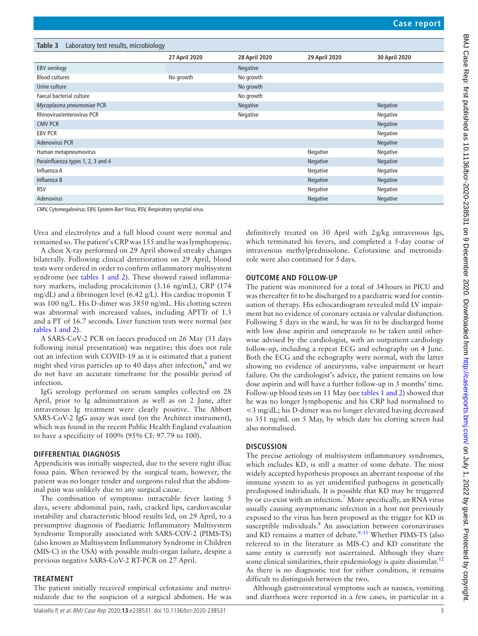<span id="page-2-0"></span>

| Laboratory test results, microbiology<br>Table 3 |               |               |               |                 |
|--------------------------------------------------|---------------|---------------|---------------|-----------------|
|                                                  | 27 April 2020 | 28 April 2020 | 29 April 2020 | 30 April 2020   |
| <b>EBV</b> serology                              |               | Negative      |               |                 |
| <b>Blood cultures</b>                            | No growth     | No growth     |               |                 |
| Urine culture                                    |               | No growth     |               |                 |
| Faecal bacterial culture                         |               | No growth     |               |                 |
| Mycoplasma pneumoniae PCR                        |               | Negative      |               | <b>Negative</b> |
| Rhinovirus/enterovirus PCR                       |               | Negative      |               | Negative        |
| <b>CMV PCR</b>                                   |               |               |               | Negative        |
| <b>EBV PCR</b>                                   |               |               |               | Negative        |
| <b>Adenovirus PCR</b>                            |               |               |               | Negative        |
| Human metapneumovirus                            |               |               | Negative      | Negative        |
| Parainfluenza types 1, 2, 3 and 4                |               |               | Negative      | Negative        |
| Influenza A                                      |               |               | Negative      | Negative        |
| Influenza B                                      |               |               | Negative      | <b>Negative</b> |
| <b>RSV</b>                                       |               |               | Negative      | Negative        |
| Adenovirus                                       |               |               | Negative      | Negative        |

CMV, Cytomegalovirus; EBV, Epstein-Barr Virus; RSV, Respiratory syncytial virus.

Urea and electrolytes and a full blood count were normal and remained so. The patient's CRP was 155 and he was lymphopenic.

A chest X-ray performed on 29 April showed streaky changes bilaterally. Following clinical deterioration on 29 April, blood tests were ordered in order to confirm inflammatory multisystem syndrome (see tables [1 and 2](#page-1-0)). These showed raised inflammatory markers, including procalcitonin (3.16 ng/mL), CRP (174 mg/dL) and a fibrinogen level (6.42 g/L). His cardiac troponin T was 100 ng/L. His D-dimer was 3850 ng/mL. His clotting screen was abnormal with increased values, including APTTr of 1.3 and a PT of 16.7 seconds. Liver function tests were normal (see tables [1 and 2\)](#page-1-0).

A SARS-CoV-2 PCR on faeces produced on 26 May (31 days following initial presentation) was negative; this does not rule out an infection with COVID-19 as it is estimated that a patient might shed virus particles up to 40 days after infection, $6$  and we do not have an accurate timeframe for the possible period of infection.

IgG serology performed on serum samples collected on 28 April, prior to Ig administration as well as on 2 June, after intravenous Ig treatment were clearly positive. The Abbott SARS-CoV-2 IgG assay was used (on the Architect instrument), which was found in the recent Public Health England evaluation to have a specificity of 100% (95% CI: 97.79 to 100).

#### **DIFFERENTIAL DIAGNOSIS**

Appendicitis was initially suspected, due to the severe right illiac fossa pain. When reviewed by the surgical team, however, the patient was no longer tender and surgeons ruled that the abdominal pain was unlikely due to any surgical cause.

The combination of symptoms: intractable fever lasting 5 days, severe abdominal pain, rash, cracked lips, cardiovascular instability and characteristic blood results led, on 29 April, to a presumptive diagnosis of Paediatric Inflammatory Multisystem Syndrome Temporally associated with SARS-COV-2 (PIMS-TS) (also known as Multisystem Inflammatory Syndrome in Children (MIS-C) in the USA) with possible multi-organ failure, despite a previous negative SARS-CoV-2 RT-PCR on 27 April.

#### **TREATMENT**

The patient initially received empirical cefotaxime and metronidazole due to the suspicion of a surgical abdomen. He was definitively treated on 30 April with 2g/kg intravenous Igs, which terminated his fevers, and completed a 5-day course of intravenous methylprednisolone. Cefotaxime and metronidazole were also continued for 5days.

#### **OUTCOME AND FOLLOW-UP**

The patient was monitored for a total of 34hours in PICU and was thereafter fit to be discharged to a paediatric ward for continuation of therapy. His echocardiogram revealed mild LV impairment but no evidence of coronary ectasia or valvular disfunction. Following 5 days in the ward, he was fit to be discharged home with low dose aspirin and omeprazole to be taken until otherwise advised by the cardiologist, with an outpatient cardiology follow-up, including a repeat ECG and echography on 4 June. Both the ECG and the echography were normal, with the latter showing no evidence of aneurysms, valve impairment or heart failure. On the cardiologist's advice, the patient remains on low dose aspirin and will have a further follow-up in 3 months' time. Follow-up blood tests on 11 May (see tables [1 and 2](#page-1-0)) showed that he was no longer lymphopenic and his CRP had normalised to <3 mg/dL; his D-dimer was no longer elevated having decreased to 351 ng/mL on 5 May, by which date his clotting screen had also normalised.

#### **DISCUSSION**

The precise aetiology of multisystem inflammatory syndromes, which includes KD, is still a matter of some debate. The most widely accepted hypothesis proposes an aberrant response of the immune system to as yet unidentified pathogens in genetically predisposed individuals. It is possible that KD may be triggered by or co-exist with an infection.<sup>7</sup> More specifically, an RNA virus usually causing asymptomatic infection in a host not previously exposed to the virus has been proposed as the trigger for KD in susceptible individuals.<sup>[8](#page-4-6)</sup> An association between coronaviruses and KD remains a matter of debate. $9-11$  Whether PIMS-TS (also referred to in the literature as MIS-C) and KD constitute the same entity is currently not ascertained. Although they share some clinical similarities, their epidemiology is quite dissimilar. $^{12}$  $^{12}$  $^{12}$ As there is no diagnostic test for either condition, it remains difficult to distinguish between the two.

Although gastrointestinal symptoms such as nausea, vomiting and diarrhoea were reported in a few cases, in particular in a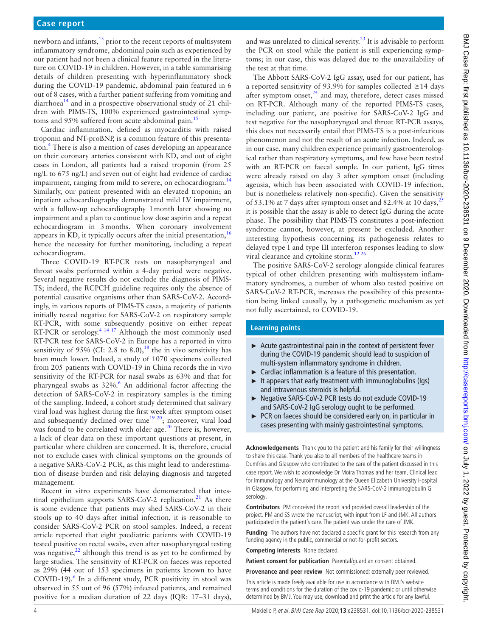## **Case report**

newborn and infants, $^{13}$  prior to the recent reports of multisystem inflammatory syndrome, abdominal pain such as experienced by our patient had not been a clinical feature reported in the literature on COVID-19 in children. However, in a table summarising details of children presenting with hyperinflammatory shock during the COVID-19 pandemic, abdominal pain featured in 6 out of 8 cases, with a further patient suffering from vomiting and diarrhoea<sup>14</sup> and in a prospective observational study of 21 children with PIMS-TS, 100% experienced gastrointestinal symp-toms and 95% suffered from acute abdominal pain.<sup>[15](#page-4-11)</sup>

Cardiac inflammation, defined as myocarditis with raised troponin and NT-proBNP, is a common feature of this presentation.[4](#page-4-2) There is also a mention of cases developing an appearance on their coronary arteries consistent with KD, and out of eight cases in London, all patients had a raised troponin (from 25 ng/L to 675 ng/L) and seven out of eight had evidence of cardiac impairment, ranging from mild to severe, on echocardiogram.<sup>[14](#page-4-10)</sup> Similarly, our patient presented with an elevated troponin; an inpatient echocardiography demonstrated mild LV impairment, with a follow-up echocardiography 1 month later showing no impairment and a plan to continue low dose aspirin and a repeat echocardiogram in 3months. When coronary involvement appears in KD, it typically occurs after the initial presentation,  $16$ hence the necessity for further monitoring, including a repeat echocardiogram.

Three COVID-19 RT-PCR tests on nasopharyngeal and throat swabs performed within a 4-day period were negative. Several negative results do not exclude the diagnosis of PIMS-TS; indeed, the RCPCH guideline requires only the absence of potential causative organisms other than SARS-CoV-2. Accordingly, in various reports of PIMS-TS cases, a majority of patients initially tested negative for SARS-CoV-2 on respiratory sample RT-PCR, with some subsequently positive on either repeat RT-PCR or serology.<sup>[4 14 17](#page-4-2)</sup> Although the most commonly used RT-PCR test for SARS-CoV-2 in Europe has a reported in vitro sensitivity of 95% (CI: 2.8 to 8.0),<sup>18</sup> the in vivo sensitivity has been much lower. Indeed, a study of 1070 specimens collected from 205 patients with COVID-19 in China records the in vivo sensitivity of the RT-PCR for nasal swabs as 63% and that for pharyngeal swabs as 32%.<sup>6</sup> An additional factor affecting the detection of SARS-CoV-2 in respiratory samples is the timing of the sampling. Indeed, a cohort study determined that salivary viral load was highest during the first week after symptom onset and subsequently declined over time<sup>19 20</sup>; moreover, viral load was found to be correlated with older age.<sup>20</sup> There is, however, a lack of clear data on these important questions at present, in particular where children are concerned. It is, therefore, crucial not to exclude cases with clinical symptoms on the grounds of a negative SARS-CoV-2 PCR, as this might lead to underestimation of disease burden and risk delaying diagnosis and targeted management.

Recent in vitro experiments have demonstrated that intestinal epithelium supports SARS-CoV-2 replication.<sup>21</sup> As there is some evidence that patients may shed SARS-CoV-2 in their stools up to 40 days after initial infection, it is reasonable to consider SARS-CoV-2 PCR on stool samples. Indeed, a recent article reported that eight paediatric patients with COVID-19 tested positive on rectal swabs, even after nasopharyngeal testing was negative, $2^2$  although this trend is as yet to be confirmed by large studies. The sensitivity of RT-PCR on faeces was reported as 29% (44 out of 153 specimens in patients known to have COVID-19).<sup>[6](#page-4-4)</sup> In a different study, PCR positivity in stool was observed in 55 out of 96 (57%) infected patients, and remained positive for a median duration of 22 days (IQR: 17–31 days),

and was unrelated to clinical severity.<sup>23</sup> It is advisable to perform the PCR on stool while the patient is still experiencing symptoms; in our case, this was delayed due to the unavailability of the test at that time.

The Abbott SARS-CoV-2 IgG assay, used for our patient, has a reported sensitivity of 93.9% for samples collected ≥14 days after symptom onset, $^{24}$  $^{24}$  $^{24}$  and may, therefore, detect cases missed on RT-PCR. Although many of the reported PIMS-TS cases, including our patient, are positive for SARS-CoV-2 IgG and test negative for the nasopharyngeal and throat RT-PCR assays, this does not necessarily entail that PIMS-TS is a post-infectious phenomenon and not the result of an acute infection. Indeed, as in our case, many children experience primarily gastroenterological rather than respiratory symptoms, and few have been tested with an RT-PCR on faecal sample. In our patient, IgG titres were already raised on day 3 after symptom onset (including ageusia, which has been associated with COVID-19 infection, but is nonetheless relatively non-specific). Given the sensitivity of 53.1% at 7 days after symptom onset and 82.4% at 10 days,<sup>2</sup> it is possible that the assay is able to detect IgG during the acute phase. The possibility that PIMS-TS constitutes a post-infection syndrome cannot, however, at present be excluded. Another interesting hypothesis concerning its pathogenesis relates to delayed type I and type III interferon responses leading to slow viral clearance and cytokine storm[.12 26](#page-4-8)

The positive SARS-CoV-2 serology alongside clinical features typical of other children presenting with multisystem inflammatory syndromes, a number of whom also tested positive on SARS-CoV-2 RT-PCR, increases the possibility of this presentation being linked causally, by a pathogenetic mechanism as yet not fully ascertained, to COVID-19.

## **Learning points**

- ► Acute gastrointestinal pain in the context of persistent fever during the COVID-19 pandemic should lead to suspicion of multi-system inflammatory syndrome in children.
- ► Cardiac inflammation is a feature of this presentation.
- It appears that early treatment with immunoglobulins (Iqs) and intravenous steroids is helpful.
- ► Negative SARS-CoV-2 PCR tests do not exclude COVID-19 and SARS-CoV-2 IgG serology ought to be performed.
- ► PCR on faeces should be considered early on, in particular in cases presenting with mainly gastrointestinal symptoms.

**Acknowledgements** Thank you to the patient and his family for their willingness to share this case. Thank you also to all members of the healthcare teams in Dumfries and Glasgow who contributed to the care of the patient discussed in this case report. We wish to acknowledge Dr Moira Thomas and her team, Clinical lead for Immunology and Neuroimmunology at the Queen Elizabeth University Hospital in Glasgow, for performing and interpreting the SARS-CoV-2 immunoglobulin G serology.

**Contributors** PM conceived the report and provided overall leadership of the project. PM and SS wrote the manuscript, with input from LF and JMK. All authors participated in the patient's care. The patient was under the care of JMK.

**Funding** The authors have not declared a specific grant for this research from any funding agency in the public, commercial or not-for-profit sectors.

**Competing interests** None declared.

Patient consent for publication Parental/guardian consent obtained.

**Provenance and peer review** Not commissioned; externally peer reviewed.

This article is made freely available for use in accordance with BMJ's website terms and conditions for the duration of the covid-19 pandemic or until otherwise determined by BMJ. You may use, download and print the article for any lawful,